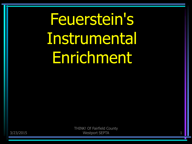# Feuerstein's Instrumental Enrichment

3/23/2015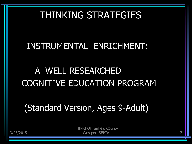#### THINKING STRATEGIES

#### INSTRUMENTAL ENRICHMENT:

# A WELL-RESEARCHED COGNITIVE EDUCATION PROGRAM

(Standard Version, Ages 9-Adult)

THINK! Of Fairfield County Westport SEPTA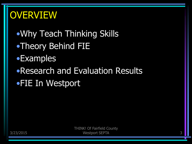#### **OVERVIEW**

- •Why Teach Thinking Skills
- •Theory Behind FIE
- •Examples
- •Research and Evaluation Results
- •FIE In Westport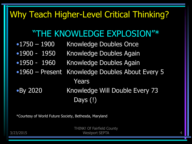#### Why Teach Higher-Level Critical Thinking?

#### "THE KNOWLEDGE EXPLOSION"\*

- •1750 1900 Knowledge Doubles Once
- •1900 1950 Knowledge Doubles Again
- •1950 1960 Knowledge Doubles Again
- •1960 Present Knowledge Doubles About Every 5 Years
- •By 2020 Knowledge Will Double Every 73 Days (!)

\*Courtesy of World Future Society, Bethesda, Maryland

THINK! Of Fairfield County Westport SEPTA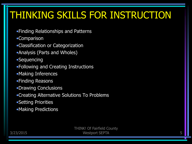# THINKING SKILLS FOR INSTRUCTION

- •Finding Relationships and Patterns
- •Comparison
- •Classification or Categorization
- •Analysis (Parts and Wholes)
- •Sequencing
- •Following and Creating Instructions
- •Making Inferences
- •Finding Reasons
- •Drawing Conclusions
- •Creating Alternative Solutions To Problems
- •Setting Priorities
- •Making Predictions

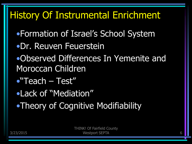# History Of Instrumental Enrichment

- •Formation of Israel's School System
- •Dr. Reuven Feuerstein
- •Observed Differences In Yemenite and Moroccan Children
- •"Teach Test"
- •Lack of "Mediation"
- •Theory of Cognitive Modifiability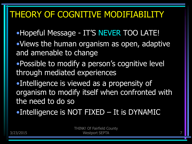#### THEORY OF COGNITIVE MODIFIABILITY

- •Hopeful Message IT'S NEVER TOO LATE!
- •Views the human organism as open, adaptive and amenable to change
- •Possible to modify a person's cognitive level through mediated experiences
- •Intelligence is viewed as a propensity of organism to modify itself when confronted with the need to do so
- •Intelligence is NOT FIXED It is DYNAMIC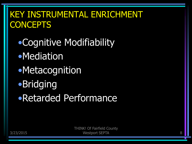#### KEY INSTRUMENTAL ENRICHMENT **CONCEPTS**

•Cognitive Modifiability •Mediation •Metacognition •Bridging •Retarded Performance

> THINK! Of Fairfield County Westport SEPTA 8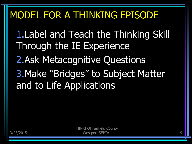# MODEL FOR A THINKING EPISODE

1.Label and Teach the Thinking Skill Through the IE Experience 2.Ask Metacognitive Questions

3.Make "Bridges" to Subject Matter and to Life Applications

3/23/2015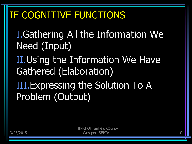# IE COGNITIVE FUNCTIONS

I.Gathering All the Information We Need (Input)

II.Using the Information We Have Gathered (Elaboration)

III.Expressing the Solution To A Problem (Output)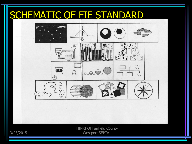## SCHEMATIC OF FIE STANDARD



THINK! Of Fairfield County Westport SEPTA 11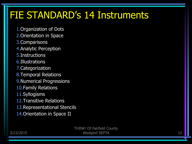# FIE STANDARD's 14 Instruments

- 1.Organization of Dots
- 2.Orientation in Space
- 3.Comparisons
- 4.Analytic Perception
- 5.Instructions
- 6.Illustrations
- 7.Categorization
- 8.Temporal Relations
- 9.Numerical Progressions
- 10.Family Relations
- 11.Syllogisms
- 12.Transitive Relations
- 13.Representational Stencils
- 14.Orientation in Space II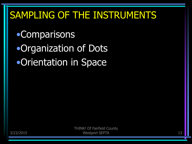# SAMPLING OF THE INSTRUMENTS

•Comparisons •Organization of Dots •Orientation in Space

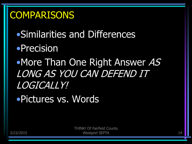#### **COMPARISONS**

- •Similarities and Differences
- •Precision
- •More Than One Right Answer AS LONG AS YOU CAN DEFEND IT LOGICALLY!
- •Pictures vs. Words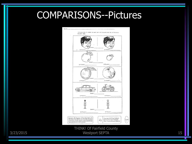### COMPARISONS--Pictures

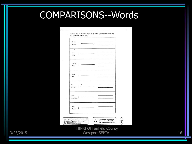# COMPARISONS--Words

| Bread<br>Meat<br>Milk<br>Coca Cola |  |  |  |
|------------------------------------|--|--|--|
|                                    |  |  |  |
|                                    |  |  |  |
| Movie<br>Television                |  |  |  |
| Baby<br>Old man                    |  |  |  |

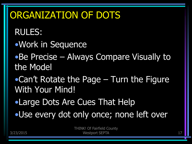# ORGANIZATION OF DOTS

RULES:

- •Work in Sequence
- •Be Precise Always Compare Visually to the Model
- •Can't Rotate the Page Turn the Figure With Your Mind!
- •Large Dots Are Cues That Help
- •Use every dot only once; none left over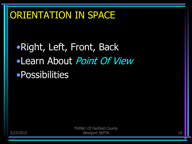# ORIENTATION IN SPACE

•Right, Left, Front, Back •Learn About Point Of View •Possibilities

3/23/2015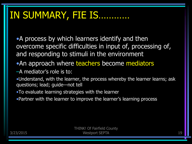# IN SUMMARY, FIE IS…………

•A process by which learners identify and then overcome specific difficulties in input of, processing of, and responding to stimuli in the environment

- An approach where teachers become mediators
- –A mediator's role is to:
- •Understand, with the learner, the process whereby the learner learns; ask questions; lead; guide—not tell
- •To evaluate learning strategies with the learner
- •Partner with the learner to improve the learner's learning process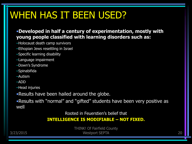# WHEN HAS IT BEEN USED?

#### •**Developed in half a century of experimentation, mostly with young people classified with learning disorders such as:**

- –Holocaust death camp survivors
- –Ethopian Jews resettling in Israel
- –Specific learning disability
- –Language impairment
- –Down's Syndrome
- –Spinabifida
- –Autism
- –ADD
- –Head injuries
- •Results have been hailed around the globe.

•Results with "normal" and "gifted" students have been very positive as well

Rooted in Feuerstien's belief that

#### **INTELLIGENCE IS MODIFIABLE – NOT FIXED.**

3/23/2015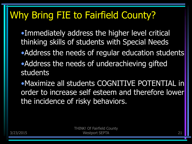# Why Bring FIE to Fairfield County?

- •Immediately address the higher level critical thinking skills of students with Special Needs
- •Address the needs of regular education students
- •Address the needs of underachieving gifted students

•Maximize all students COGNITIVE POTENTIAL in order to increase self esteem and therefore lower the incidence of risky behaviors.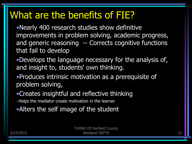#### What are the benefits of FIE?

•Nearly 400 research studies show definitive improvements in problem solving, academic progress, and generic reasoning -- Corrects cognitive functions that fail to develop

- •Develops the language necessary for the analysis of, and insight to, students' own thinking.
- •Produces intrinsic motivation as a prerequisite of problem solving,
- •Creates insightful and reflective thinking
- –Helps the mediator create motivation in the learner
- •Alters the self image of the student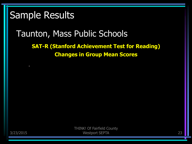#### Sample Results

#### Taunton, Mass Public Schools

#### **SAT-R (Stanford Achievement Test for Reading) Changes in Group Mean Scores**

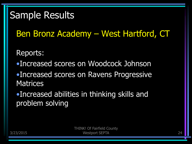#### Sample Results

Ben Bronz Academy – West Hartford, CT

Reports:

- •Increased scores on Woodcock Johnson
- •Increased scores on Ravens Progressive **Matrices**

•Increased abilities in thinking skills and problem solving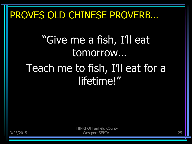# PROVES OLD CHINESE PROVERB…

# "Give me a fish, I'll eat tomorrow…

# Teach me to fish, I'll eat for a lifetime!"

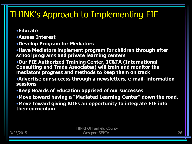#### THINK's Approach to Implementing FIE

•**Educate**

•**Assess Interest**

•**Develop Program for Mediators**

•**Have Mediators implement program for children through after school programs and private learning centers**

•**Our FIE Authorized Training Center, IC&TA (International Consulting and Trade Associates) will train and monitor the mediators progress and methods to keep them on track**

•**Advertise our success through a newsletters, e-mail, information sessions**

•**Keep Boards of Education apprised of our successes**

•**Move toward having a "Mediated Learning Center" down the road.**

•**Move toward giving BOEs an opportunity to integrate FIE into their curriculum**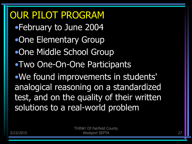OUR PILOT PROGRAM •February to June 2004 •One Elementary Group •One Middle School Group •Two One-On-One Participants •We found improvements in students' analogical reasoning on a standardized test, and on the quality of their written solutions to a real-world problem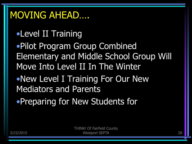#### MOVING AHEAD….

### •Level II Training

•Pilot Program Group Combined Elementary and Middle School Group Will Move Into Level II In The Winter

- •New Level I Training For Our New Mediators and Parents
- •Preparing for New Students for